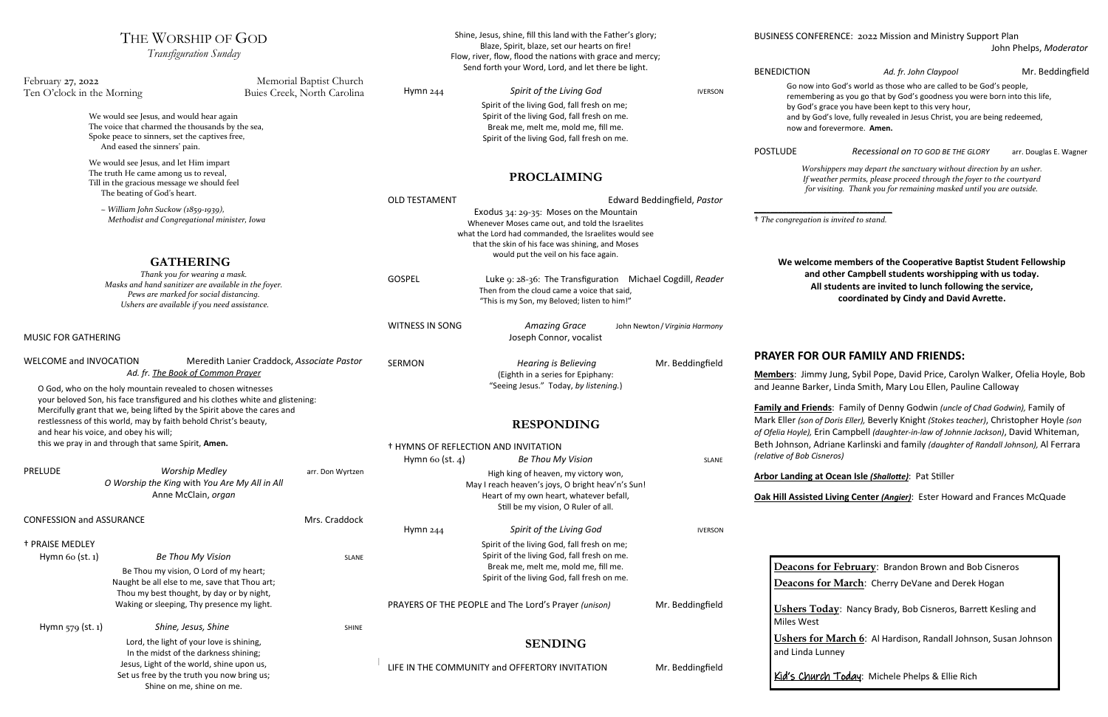Shine, Jesus, shine, fill this land with the Father's glory; Blaze, Spirit, blaze, set our hearts on fire!

## THE WORSHIP OF GOD

*Transfiguration Sunday*

**Ome members of the Cooperative Baptist Student Fellowship and other Campbell students worshipping with us today. All students are invited to lunch following the service, coordinated by Cindy and David Avrette.**

### **R OUR FAMILY AND FRIENDS:**

**Members**: Jimmy Jung, Sybil Pope, David Price, Carolyn Walker, Ofelia Hoyle, Bob rker, Linda Smith, Mary Lou Ellen, Pauline Calloway

**Ends:** Family of Denny Godwin *(uncle of Chad Godwin),* Family of Mark Eller *(son of Doris Eller),* Beverly Knight *(Stokes teacher)*, Christopher Hoyle *(son of Ofelia Hoyle),* Erin Campbell *(daughter-in-law of Johnnie Jackson)*, David Whiteman, Adriane Karlinski and family *(daughter of Randall Johnson),* Al Ferrara *(relative of Bob Cisneros)*

| <i>Lransfiguration Sunaay</i>                                                                                                                                                                                                                                                                                                                                                                                                                                                                               |                                                                                                                                |                             | Flow, river, flow, flood the nations with grace and mercy;<br>Send forth your Word, Lord, and let there be light.                                                                                        |                                                                                                                                     |                                |                                                                                                                                                                                          |                                                      |
|-------------------------------------------------------------------------------------------------------------------------------------------------------------------------------------------------------------------------------------------------------------------------------------------------------------------------------------------------------------------------------------------------------------------------------------------------------------------------------------------------------------|--------------------------------------------------------------------------------------------------------------------------------|-----------------------------|----------------------------------------------------------------------------------------------------------------------------------------------------------------------------------------------------------|-------------------------------------------------------------------------------------------------------------------------------------|--------------------------------|------------------------------------------------------------------------------------------------------------------------------------------------------------------------------------------|------------------------------------------------------|
| February 27, 2022                                                                                                                                                                                                                                                                                                                                                                                                                                                                                           |                                                                                                                                | Memorial Baptist Church     |                                                                                                                                                                                                          |                                                                                                                                     |                                | <b>BENEDICTION</b>                                                                                                                                                                       | Aι                                                   |
| Ten O'clock in the Morning                                                                                                                                                                                                                                                                                                                                                                                                                                                                                  |                                                                                                                                | Buies Creek, North Carolina | Hymn $244$                                                                                                                                                                                               | Spirit of the Living God                                                                                                            | <b>IVERSON</b>                 | Go now into God's world as th<br>remembering as you go that b                                                                                                                            |                                                      |
| We would see Jesus, and would hear again<br>The voice that charmed the thousands by the sea,<br>Spoke peace to sinners, set the captives free,                                                                                                                                                                                                                                                                                                                                                              |                                                                                                                                |                             | Spirit of the living God, fall fresh on me;<br>Spirit of the living God, fall fresh on me.<br>Break me, melt me, mold me, fill me.<br>Spirit of the living God, fall fresh on me.                        |                                                                                                                                     |                                | by God's grace you have been<br>and by God's love, fully reveal<br>now and forevermore. Amen.                                                                                            |                                                      |
|                                                                                                                                                                                                                                                                                                                                                                                                                                                                                                             | And eased the sinners' pain.                                                                                                   |                             |                                                                                                                                                                                                          |                                                                                                                                     |                                | <b>POSTLUDE</b>                                                                                                                                                                          | Recession                                            |
| We would see Jesus, and let Him impart<br>The truth He came among us to reveal,<br>Till in the gracious message we should feel<br>The beating of God's heart.                                                                                                                                                                                                                                                                                                                                               |                                                                                                                                |                             | <b>PROCLAIMING</b><br><b>OLD TESTAMENT</b><br>Edward Beddingfield, Pastor                                                                                                                                |                                                                                                                                     |                                | Worshippers may depart t<br>If weather permits, please<br>for visiting. Thank you fo                                                                                                     |                                                      |
| ~ William John Suckow (1859-1939),<br>Methodist and Congregational minister, Iowa                                                                                                                                                                                                                                                                                                                                                                                                                           |                                                                                                                                |                             | Exodus 34: 29-35: Moses on the Mountain<br>Whenever Moses came out, and told the Israelites<br>what the Lord had commanded, the Israelites would see<br>that the skin of his face was shining, and Moses |                                                                                                                                     |                                | <sup>†</sup> The congregation is invited to stand.                                                                                                                                       |                                                      |
| <b>GATHERING</b>                                                                                                                                                                                                                                                                                                                                                                                                                                                                                            |                                                                                                                                |                             | would put the veil on his face again.                                                                                                                                                                    |                                                                                                                                     |                                |                                                                                                                                                                                          | We welcome members of tl                             |
| Thank you for wearing a mask.<br>Masks and hand sanitizer are available in the foyer.<br>Pews are marked for social distancing.<br>Ushers are available if you need assistance.                                                                                                                                                                                                                                                                                                                             |                                                                                                                                |                             | <b>GOSPEL</b><br>Luke 9: 28-36: The Transfiguration Michael Cogdill, Reader<br>Then from the cloud came a voice that said,<br>"This is my Son, my Beloved; listen to him!"                               |                                                                                                                                     |                                | and other Campbell s<br>All students are invi<br>coordinated                                                                                                                             |                                                      |
| MUSIC FOR GATHERING                                                                                                                                                                                                                                                                                                                                                                                                                                                                                         |                                                                                                                                |                             | <b>WITNESS IN SONG</b>                                                                                                                                                                                   | <b>Amazing Grace</b><br>Joseph Connor, vocalist                                                                                     | John Newton / Virginia Harmony |                                                                                                                                                                                          |                                                      |
| WELCOME and INVOCATION<br>Meredith Lanier Craddock, Associate Pastor<br>Ad. fr. The Book of Common Prayer<br>O God, who on the holy mountain revealed to chosen witnesses<br>your beloved Son, his face transfigured and his clothes white and glistening:<br>Mercifully grant that we, being lifted by the Spirit above the cares and<br>restlessness of this world, may by faith behold Christ's beauty,<br>and hear his voice, and obey his will;<br>this we pray in and through that same Spirit, Amen. |                                                                                                                                |                             | SERMON                                                                                                                                                                                                   | <b>Hearing is Believing</b>                                                                                                         | Mr. Beddingfield               | <b>PRAYER FOR OUR FAMILY</b>                                                                                                                                                             |                                                      |
|                                                                                                                                                                                                                                                                                                                                                                                                                                                                                                             |                                                                                                                                |                             |                                                                                                                                                                                                          | (Eighth in a series for Epiphany:<br>"Seeing Jesus." Today, by listening.)                                                          |                                | Members: Jimmy Jung, Sybil Pope<br>and Jeanne Barker, Linda Smith, M                                                                                                                     |                                                      |
|                                                                                                                                                                                                                                                                                                                                                                                                                                                                                                             |                                                                                                                                |                             | <b>RESPONDING</b><br>† HYMNS OF REFLECTION AND INVITATION<br>Hymn 6o (st. $4$ )<br>Be Thou My Vision<br>SLANE                                                                                            |                                                                                                                                     |                                | Family and Friends: Family of Der<br>Mark Eller (son of Doris Eller), Bever<br>of Ofelia Hoyle), Erin Campbell (daug<br>Beth Johnson, Adriane Karlinski ar<br>(relative of Bob Cisneros) |                                                      |
| PRELUDE                                                                                                                                                                                                                                                                                                                                                                                                                                                                                                     | <b>Worship Medley</b>                                                                                                          | arr. Don Wyrtzen            |                                                                                                                                                                                                          | High king of heaven, my victory won,                                                                                                |                                | <b>Arbor Landing at Ocean Isle (Shall</b>                                                                                                                                                |                                                      |
|                                                                                                                                                                                                                                                                                                                                                                                                                                                                                                             | O Worship the King with You Are My All in All<br>Anne McClain, organ                                                           |                             |                                                                                                                                                                                                          | May I reach heaven's joys, O bright heav'n's Sun!<br>Heart of my own heart, whatever befall,<br>Still be my vision, O Ruler of all. |                                | <b>Oak Hill Assisted Living Center (A)</b>                                                                                                                                               |                                                      |
| Mrs. Craddock<br><b>CONFESSION and ASSURANCE</b>                                                                                                                                                                                                                                                                                                                                                                                                                                                            |                                                                                                                                |                             |                                                                                                                                                                                                          |                                                                                                                                     |                                |                                                                                                                                                                                          |                                                      |
|                                                                                                                                                                                                                                                                                                                                                                                                                                                                                                             |                                                                                                                                |                             | Hymn $244$                                                                                                                                                                                               | Spirit of the Living God                                                                                                            | <b>IVERSON</b>                 |                                                                                                                                                                                          |                                                      |
| <b>† PRAISE MEDLEY</b><br>Hymn $60$ (st. $1)$                                                                                                                                                                                                                                                                                                                                                                                                                                                               | Be Thou My Vision                                                                                                              | SLANE                       | Spirit of the living God, fall fresh on me;<br>Spirit of the living God, fall fresh on me.                                                                                                               |                                                                                                                                     |                                |                                                                                                                                                                                          |                                                      |
|                                                                                                                                                                                                                                                                                                                                                                                                                                                                                                             | Be Thou my vision, O Lord of my heart;<br>Naught be all else to me, save that Thou art;                                        |                             |                                                                                                                                                                                                          | Break me, melt me, mold me, fill me.<br>Spirit of the living God, fall fresh on me.                                                 |                                |                                                                                                                                                                                          | Deacons for February: Br<br>Deacons for March: Cheri |
|                                                                                                                                                                                                                                                                                                                                                                                                                                                                                                             | Thou my best thought, by day or by night,<br>Waking or sleeping, Thy presence my light.                                        |                             |                                                                                                                                                                                                          | PRAYERS OF THE PEOPLE and The Lord's Prayer (unison)                                                                                | Mr. Beddingfield               | Miles West                                                                                                                                                                               | <b>Ushers Today: Nancy Brac</b>                      |
| Hymn $579$ (st. 1)                                                                                                                                                                                                                                                                                                                                                                                                                                                                                          | Shine, Jesus, Shine                                                                                                            | <b>SHINE</b>                |                                                                                                                                                                                                          |                                                                                                                                     |                                |                                                                                                                                                                                          |                                                      |
|                                                                                                                                                                                                                                                                                                                                                                                                                                                                                                             | Lord, the light of your love is shining,<br>In the midst of the darkness shining;<br>Jesus, Light of the world, shine upon us, |                             | <b>SENDING</b>                                                                                                                                                                                           |                                                                                                                                     |                                | and Linda Lunney                                                                                                                                                                         | <b>Ushers for March 6: Al Ha</b>                     |
|                                                                                                                                                                                                                                                                                                                                                                                                                                                                                                             | Set us free by the truth you now bring us;<br>Shine on me, shine on me.                                                        |                             |                                                                                                                                                                                                          | LIFE IN THE COMMUNITY and OFFERTORY INVITATION                                                                                      | Mr. Beddingfield               |                                                                                                                                                                                          | <u>Kid's Church Today</u> : Miche                    |

BUSINESS CONFERENCE: 2022 Mission and Ministry Support Plan John Phelps, *Moderator*

Ad. fr. John Claypool Mr. Beddingfield

into God's world as those who are called to be God's people, ering as you go that by God's goodness you were born into this life, s grace you have been kept to this very hour, God's love, fully revealed in Jesus Christ, you are being redeemed, d forevermore. Amen.

POSTLUDE *Recessional on TO GOD BE THE GLORY* arr. Douglas E. Wagner

*Worshippers may depart the sanctuary without direction by an usher. If weather permits, please proceed through the foyer to the courtyard for visiting. Thank you for remaining masked until you are outside.*

**Arbor Landing at Ocean Isle** *(Shallotte)*: Pat Stiller

**Ed Living Center (Angier)**: Ester Howard and Frances McQuade

for February: Brandon Brown and Bob Cisneros for March: Cherry DeVane and Derek Hogan

**Today: Nancy Brady, Bob Cisneros, Barrett Kesling and** 

or March 6: Al Hardison, Randall Johnson, Susan Johnson Lunney

rch Today: Michele Phelps & Ellie Rich